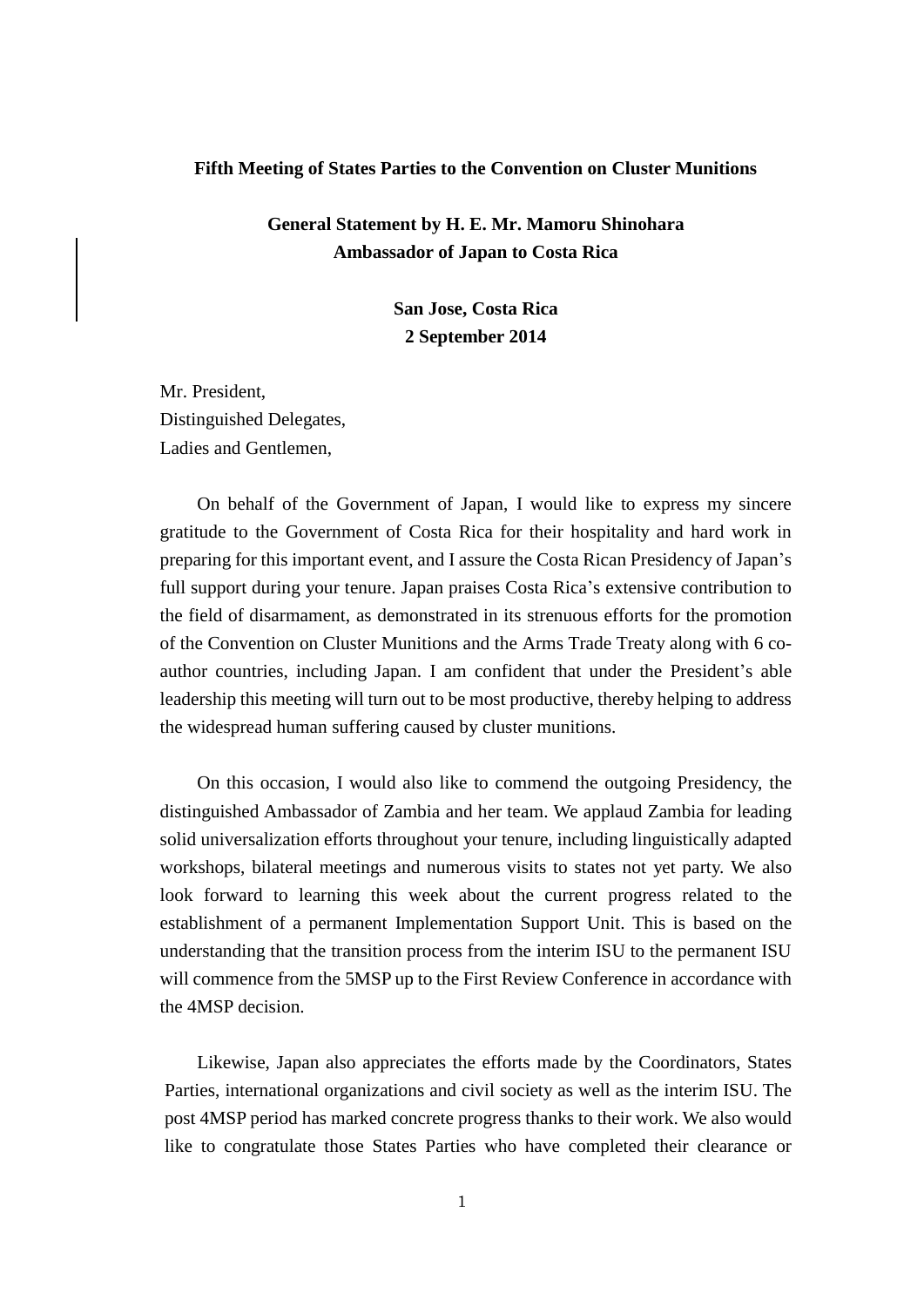#### **Fifth Meeting of States Parties to the Convention on Cluster Munitions**

# **General Statement by H. E. Mr. Mamoru Shinohara Ambassador of Japan to Costa Rica**

**San Jose, Costa Rica 2 September 2014**

Mr. President, Distinguished Delegates, Ladies and Gentlemen,

On behalf of the Government of Japan, I would like to express my sincere gratitude to the Government of Costa Rica for their hospitality and hard work in preparing for this important event, and I assure the Costa Rican Presidency of Japan's full support during your tenure. Japan praises Costa Rica's extensive contribution to the field of disarmament, as demonstrated in its strenuous efforts for the promotion of the Convention on Cluster Munitions and the Arms Trade Treaty along with 6 coauthor countries, including Japan. I am confident that under the President's able leadership this meeting will turn out to be most productive, thereby helping to address the widespread human suffering caused by cluster munitions.

On this occasion, I would also like to commend the outgoing Presidency, the distinguished Ambassador of Zambia and her team. We applaud Zambia for leading solid universalization efforts throughout your tenure, including linguistically adapted workshops, bilateral meetings and numerous visits to states not yet party. We also look forward to learning this week about the current progress related to the establishment of a permanent Implementation Support Unit. This is based on the understanding that the transition process from the interim ISU to the permanent ISU will commence from the 5MSP up to the First Review Conference in accordance with the 4MSP decision.

 Likewise, Japan also appreciates the efforts made by the Coordinators, States Parties, international organizations and civil society as well as the interim ISU. The post 4MSP period has marked concrete progress thanks to their work. We also would like to congratulate those States Parties who have completed their clearance or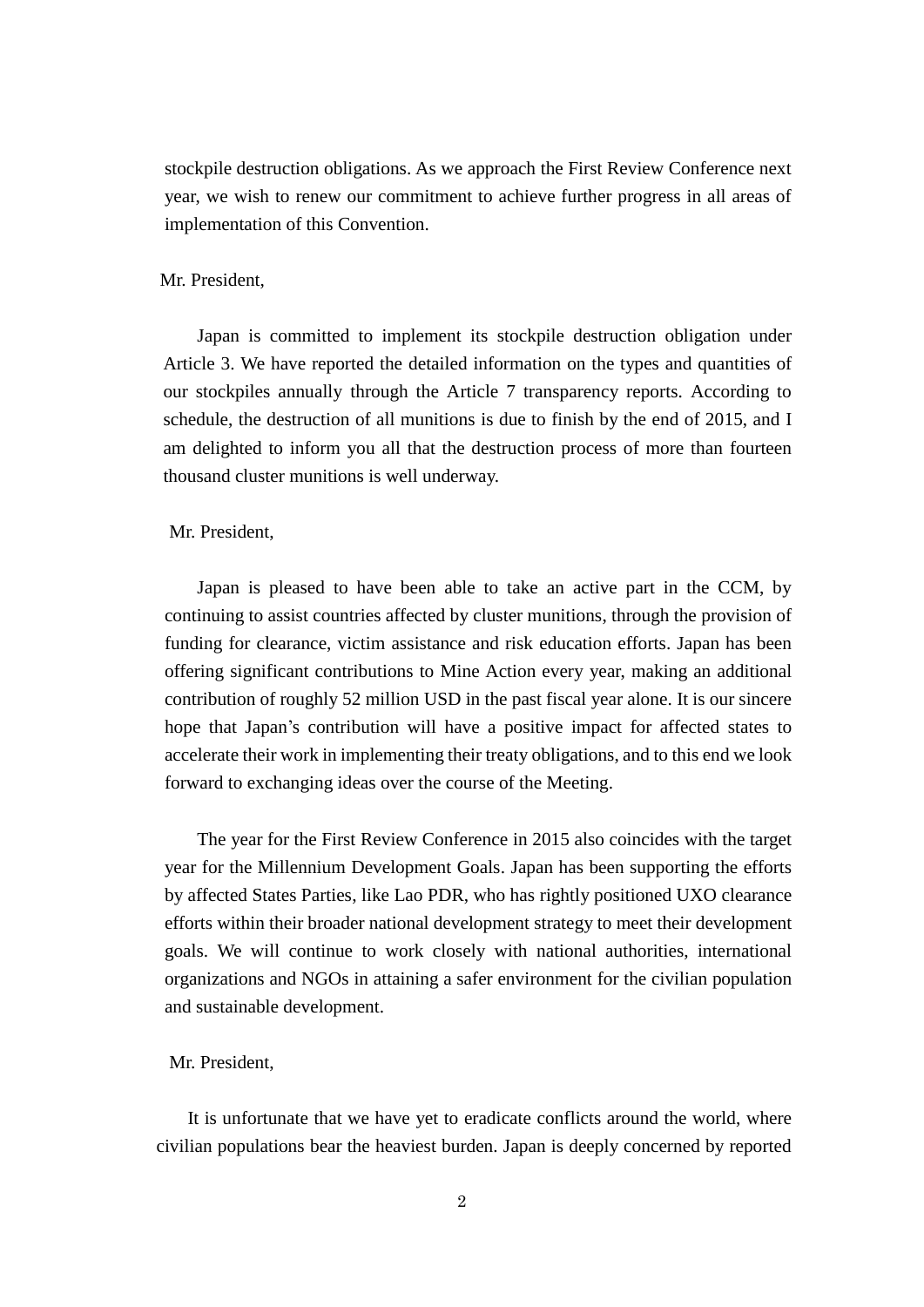stockpile destruction obligations. As we approach the First Review Conference next year, we wish to renew our commitment to achieve further progress in all areas of implementation of this Convention.

### Mr. President,

Japan is committed to implement its stockpile destruction obligation under Article 3. We have reported the detailed information on the types and quantities of our stockpiles annually through the Article 7 transparency reports. According to schedule, the destruction of all munitions is due to finish by the end of 2015, and I am delighted to inform you all that the destruction process of more than fourteen thousand cluster munitions is well underway.

#### Mr. President,

Japan is pleased to have been able to take an active part in the CCM, by continuing to assist countries affected by cluster munitions, through the provision of funding for clearance, victim assistance and risk education efforts. Japan has been offering significant contributions to Mine Action every year, making an additional contribution of roughly 52 million USD in the past fiscal year alone. It is our sincere hope that Japan's contribution will have a positive impact for affected states to accelerate their work in implementing their treaty obligations, and to this end we look forward to exchanging ideas over the course of the Meeting.

The year for the First Review Conference in 2015 also coincides with the target year for the Millennium Development Goals. Japan has been supporting the efforts by affected States Parties, like Lao PDR, who has rightly positioned UXO clearance efforts within their broader national development strategy to meet their development goals. We will continue to work closely with national authorities, international organizations and NGOs in attaining a safer environment for the civilian population and sustainable development.

## Mr. President,

It is unfortunate that we have yet to eradicate conflicts around the world, where civilian populations bear the heaviest burden. Japan is deeply concerned by reported